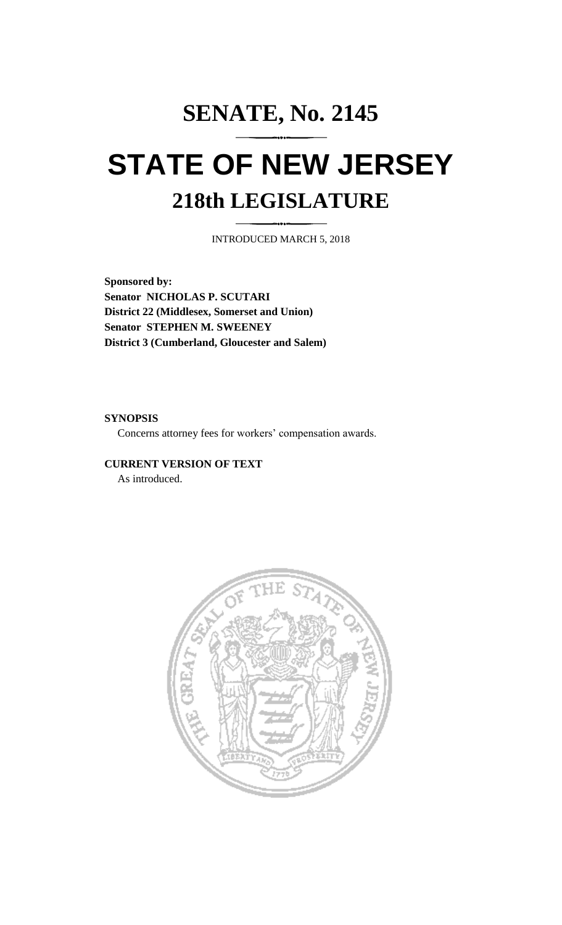# **SENATE, No. 2145 STATE OF NEW JERSEY 218th LEGISLATURE**

INTRODUCED MARCH 5, 2018

**Sponsored by: Senator NICHOLAS P. SCUTARI District 22 (Middlesex, Somerset and Union) Senator STEPHEN M. SWEENEY District 3 (Cumberland, Gloucester and Salem)**

## **SYNOPSIS**

Concerns attorney fees for workers' compensation awards.

## **CURRENT VERSION OF TEXT**

As introduced.

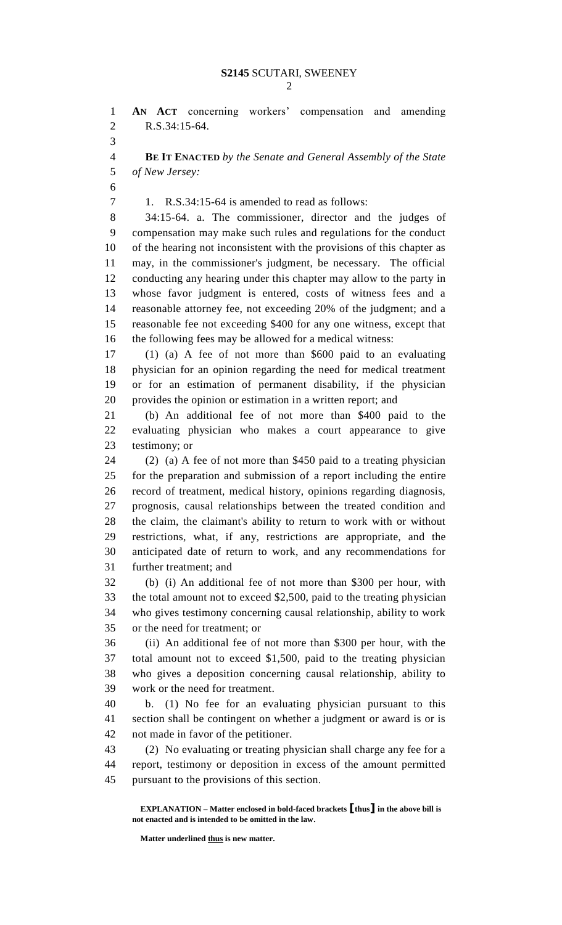**AN ACT** concerning workers' compensation and amending R.S.34:15-64. 

 **BE IT ENACTED** *by the Senate and General Assembly of the State of New Jersey:*

1. R.S.34:15-64 is amended to read as follows:

 34:15-64. a. The commissioner, director and the judges of compensation may make such rules and regulations for the conduct of the hearing not inconsistent with the provisions of this chapter as may, in the commissioner's judgment, be necessary. The official conducting any hearing under this chapter may allow to the party in whose favor judgment is entered, costs of witness fees and a reasonable attorney fee, not exceeding 20% of the judgment; and a reasonable fee not exceeding \$400 for any one witness, except that the following fees may be allowed for a medical witness:

 (1) (a) A fee of not more than \$600 paid to an evaluating physician for an opinion regarding the need for medical treatment or for an estimation of permanent disability, if the physician provides the opinion or estimation in a written report; and

 (b) An additional fee of not more than \$400 paid to the evaluating physician who makes a court appearance to give testimony; or

 (2) (a) A fee of not more than \$450 paid to a treating physician for the preparation and submission of a report including the entire record of treatment, medical history, opinions regarding diagnosis, prognosis, causal relationships between the treated condition and the claim, the claimant's ability to return to work with or without restrictions, what, if any, restrictions are appropriate, and the anticipated date of return to work, and any recommendations for further treatment; and

 (b) (i) An additional fee of not more than \$300 per hour, with the total amount not to exceed \$2,500, paid to the treating physician who gives testimony concerning causal relationship, ability to work or the need for treatment; or

 (ii) An additional fee of not more than \$300 per hour, with the total amount not to exceed \$1,500, paid to the treating physician who gives a deposition concerning causal relationship, ability to work or the need for treatment.

 b. (1) No fee for an evaluating physician pursuant to this section shall be contingent on whether a judgment or award is or is not made in favor of the petitioner.

 (2) No evaluating or treating physician shall charge any fee for a report, testimony or deposition in excess of the amount permitted pursuant to the provisions of this section.

**EXPLANATION – Matter enclosed in bold-faced brackets [thus] in the above bill is not enacted and is intended to be omitted in the law.**

**Matter underlined thus is new matter.**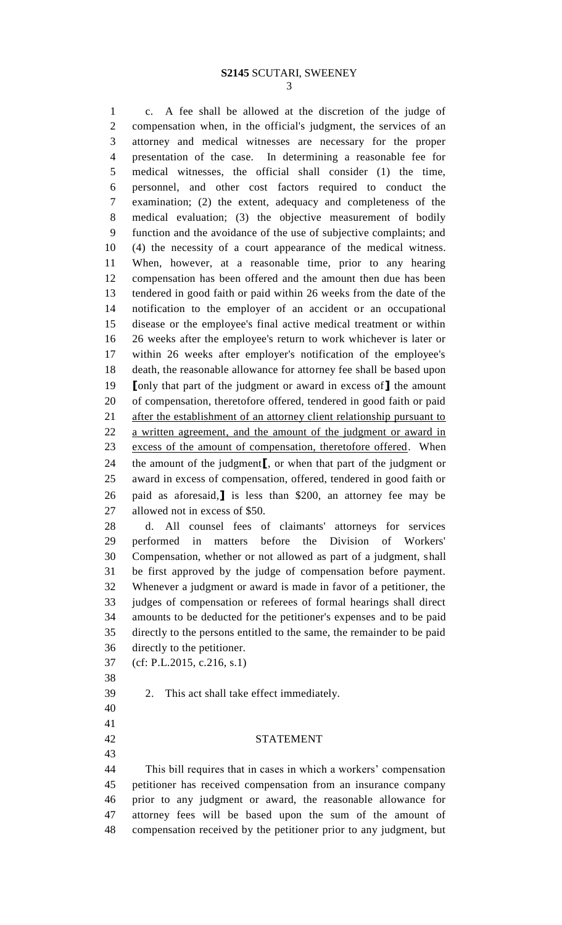### **S2145** SCUTARI, SWEENEY

 c. A fee shall be allowed at the discretion of the judge of compensation when, in the official's judgment, the services of an attorney and medical witnesses are necessary for the proper presentation of the case. In determining a reasonable fee for medical witnesses, the official shall consider (1) the time, personnel, and other cost factors required to conduct the examination; (2) the extent, adequacy and completeness of the medical evaluation; (3) the objective measurement of bodily function and the avoidance of the use of subjective complaints; and (4) the necessity of a court appearance of the medical witness. When, however, at a reasonable time, prior to any hearing compensation has been offered and the amount then due has been tendered in good faith or paid within 26 weeks from the date of the notification to the employer of an accident or an occupational disease or the employee's final active medical treatment or within 26 weeks after the employee's return to work whichever is later or within 26 weeks after employer's notification of the employee's death, the reasonable allowance for attorney fee shall be based upon **[**only that part of the judgment or award in excess of**]** the amount of compensation, theretofore offered, tendered in good faith or paid 21 after the establishment of an attorney client relationship pursuant to a written agreement, and the amount of the judgment or award in excess of the amount of compensation, theretofore offered. When the amount of the judgment**[**, or when that part of the judgment or award in excess of compensation, offered, tendered in good faith or paid as aforesaid,**]** is less than \$200, an attorney fee may be allowed not in excess of \$50.

 d. All counsel fees of claimants' attorneys for services performed in matters before the Division of Workers' Compensation, whether or not allowed as part of a judgment, shall be first approved by the judge of compensation before payment. Whenever a judgment or award is made in favor of a petitioner, the judges of compensation or referees of formal hearings shall direct amounts to be deducted for the petitioner's expenses and to be paid directly to the persons entitled to the same, the remainder to be paid directly to the petitioner.

(cf: P.L.2015, c.216, s.1)

2. This act shall take effect immediately.

 

STATEMENT

 This bill requires that in cases in which a workers' compensation petitioner has received compensation from an insurance company prior to any judgment or award, the reasonable allowance for attorney fees will be based upon the sum of the amount of compensation received by the petitioner prior to any judgment, but